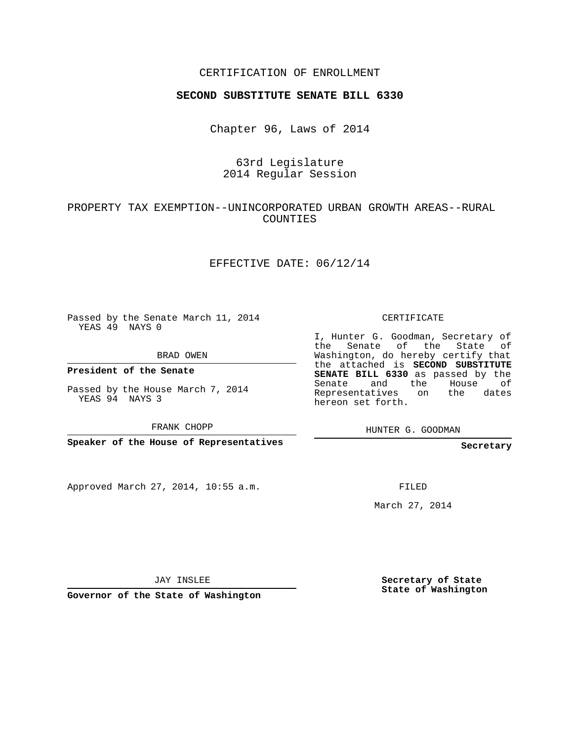### CERTIFICATION OF ENROLLMENT

#### **SECOND SUBSTITUTE SENATE BILL 6330**

Chapter 96, Laws of 2014

## 63rd Legislature 2014 Regular Session

## PROPERTY TAX EXEMPTION--UNINCORPORATED URBAN GROWTH AREAS--RURAL COUNTIES

#### EFFECTIVE DATE: 06/12/14

Passed by the Senate March 11, 2014 YEAS 49 NAYS 0

BRAD OWEN

**President of the Senate**

Passed by the House March 7, 2014 YEAS 94 NAYS 3

FRANK CHOPP

**Speaker of the House of Representatives**

Approved March 27, 2014, 10:55 a.m.

CERTIFICATE

I, Hunter G. Goodman, Secretary of the Senate of the State of Washington, do hereby certify that the attached is **SECOND SUBSTITUTE SENATE BILL 6330** as passed by the Senate and the House of Representatives on the dates hereon set forth.

HUNTER G. GOODMAN

**Secretary**

FILED

March 27, 2014

JAY INSLEE

**Governor of the State of Washington**

**Secretary of State State of Washington**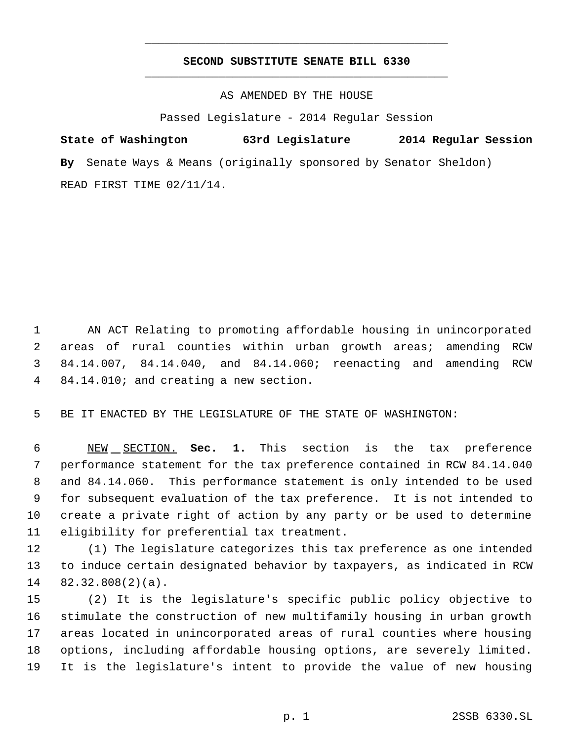# **SECOND SUBSTITUTE SENATE BILL 6330** \_\_\_\_\_\_\_\_\_\_\_\_\_\_\_\_\_\_\_\_\_\_\_\_\_\_\_\_\_\_\_\_\_\_\_\_\_\_\_\_\_\_\_\_\_

\_\_\_\_\_\_\_\_\_\_\_\_\_\_\_\_\_\_\_\_\_\_\_\_\_\_\_\_\_\_\_\_\_\_\_\_\_\_\_\_\_\_\_\_\_

AS AMENDED BY THE HOUSE

Passed Legislature - 2014 Regular Session

**State of Washington 63rd Legislature 2014 Regular Session By** Senate Ways & Means (originally sponsored by Senator Sheldon) READ FIRST TIME 02/11/14.

 AN ACT Relating to promoting affordable housing in unincorporated areas of rural counties within urban growth areas; amending RCW 84.14.007, 84.14.040, and 84.14.060; reenacting and amending RCW 84.14.010; and creating a new section.

BE IT ENACTED BY THE LEGISLATURE OF THE STATE OF WASHINGTON:

 NEW SECTION. **Sec. 1.** This section is the tax preference performance statement for the tax preference contained in RCW 84.14.040 and 84.14.060. This performance statement is only intended to be used for subsequent evaluation of the tax preference. It is not intended to create a private right of action by any party or be used to determine eligibility for preferential tax treatment.

 (1) The legislature categorizes this tax preference as one intended to induce certain designated behavior by taxpayers, as indicated in RCW 82.32.808(2)(a).

 (2) It is the legislature's specific public policy objective to stimulate the construction of new multifamily housing in urban growth areas located in unincorporated areas of rural counties where housing options, including affordable housing options, are severely limited. It is the legislature's intent to provide the value of new housing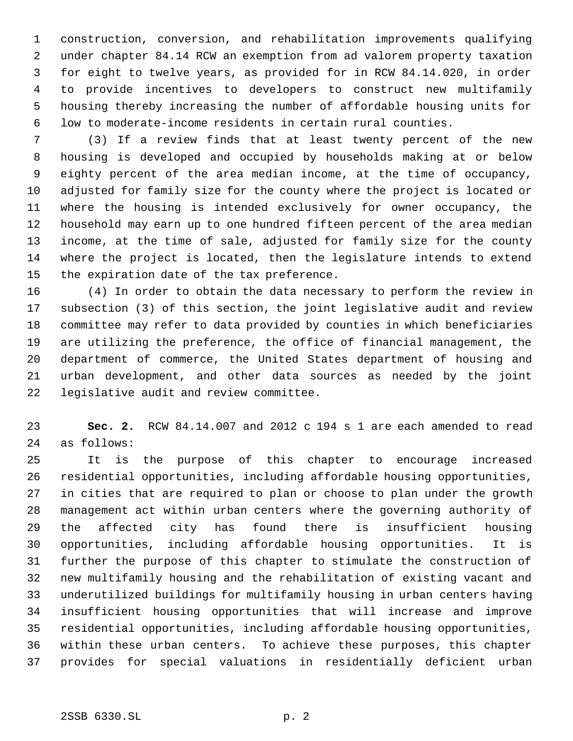construction, conversion, and rehabilitation improvements qualifying under chapter 84.14 RCW an exemption from ad valorem property taxation for eight to twelve years, as provided for in RCW 84.14.020, in order to provide incentives to developers to construct new multifamily housing thereby increasing the number of affordable housing units for low to moderate-income residents in certain rural counties.

 (3) If a review finds that at least twenty percent of the new housing is developed and occupied by households making at or below eighty percent of the area median income, at the time of occupancy, adjusted for family size for the county where the project is located or where the housing is intended exclusively for owner occupancy, the household may earn up to one hundred fifteen percent of the area median income, at the time of sale, adjusted for family size for the county where the project is located, then the legislature intends to extend the expiration date of the tax preference.

 (4) In order to obtain the data necessary to perform the review in subsection (3) of this section, the joint legislative audit and review committee may refer to data provided by counties in which beneficiaries are utilizing the preference, the office of financial management, the department of commerce, the United States department of housing and urban development, and other data sources as needed by the joint legislative audit and review committee.

 **Sec. 2.** RCW 84.14.007 and 2012 c 194 s 1 are each amended to read as follows:

 It is the purpose of this chapter to encourage increased residential opportunities, including affordable housing opportunities, in cities that are required to plan or choose to plan under the growth management act within urban centers where the governing authority of the affected city has found there is insufficient housing opportunities, including affordable housing opportunities. It is further the purpose of this chapter to stimulate the construction of new multifamily housing and the rehabilitation of existing vacant and underutilized buildings for multifamily housing in urban centers having insufficient housing opportunities that will increase and improve residential opportunities, including affordable housing opportunities, within these urban centers. To achieve these purposes, this chapter provides for special valuations in residentially deficient urban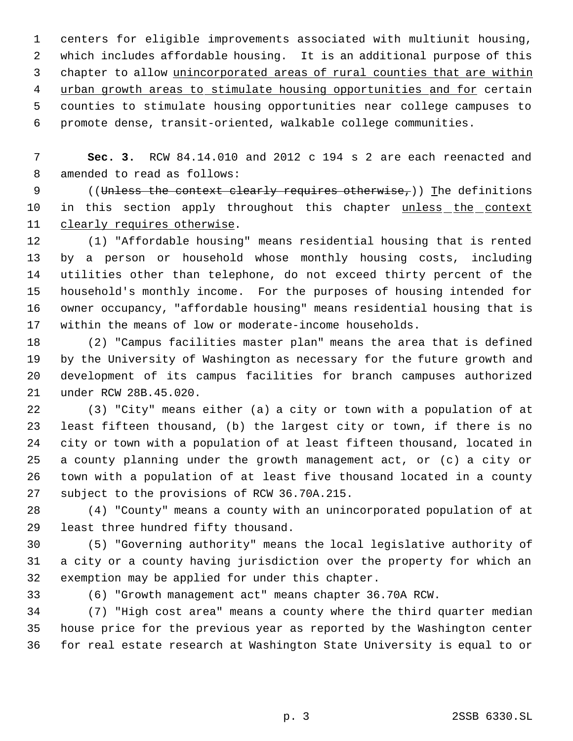centers for eligible improvements associated with multiunit housing, which includes affordable housing. It is an additional purpose of this 3 chapter to allow unincorporated areas of rural counties that are within 4 urban growth areas to stimulate housing opportunities and for certain counties to stimulate housing opportunities near college campuses to promote dense, transit-oriented, walkable college communities.

 **Sec. 3.** RCW 84.14.010 and 2012 c 194 s 2 are each reenacted and amended to read as follows:

9 ((Unless the context clearly requires otherwise,)) The definitions 10 in this section apply throughout this chapter unless the context clearly requires otherwise.

 (1) "Affordable housing" means residential housing that is rented by a person or household whose monthly housing costs, including utilities other than telephone, do not exceed thirty percent of the household's monthly income. For the purposes of housing intended for owner occupancy, "affordable housing" means residential housing that is within the means of low or moderate-income households.

 (2) "Campus facilities master plan" means the area that is defined by the University of Washington as necessary for the future growth and development of its campus facilities for branch campuses authorized under RCW 28B.45.020.

 (3) "City" means either (a) a city or town with a population of at least fifteen thousand, (b) the largest city or town, if there is no city or town with a population of at least fifteen thousand, located in a county planning under the growth management act, or (c) a city or town with a population of at least five thousand located in a county subject to the provisions of RCW 36.70A.215.

 (4) "County" means a county with an unincorporated population of at least three hundred fifty thousand.

 (5) "Governing authority" means the local legislative authority of a city or a county having jurisdiction over the property for which an exemption may be applied for under this chapter.

(6) "Growth management act" means chapter 36.70A RCW.

 (7) "High cost area" means a county where the third quarter median house price for the previous year as reported by the Washington center for real estate research at Washington State University is equal to or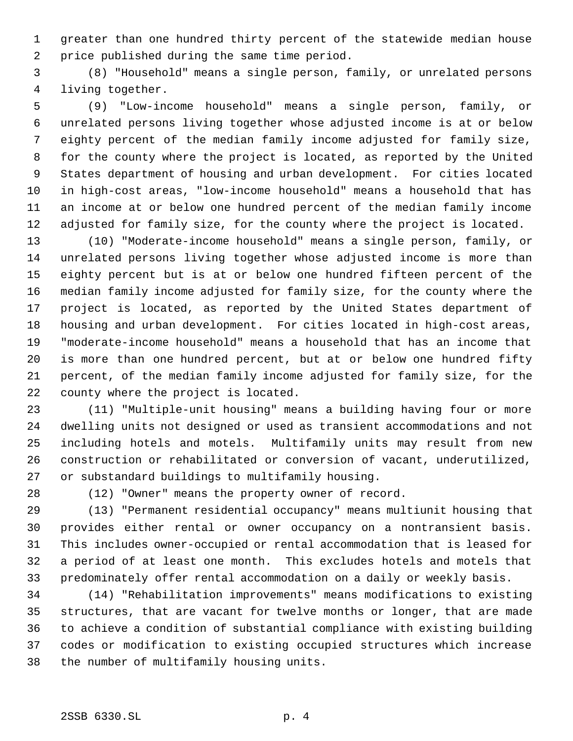greater than one hundred thirty percent of the statewide median house price published during the same time period.

 (8) "Household" means a single person, family, or unrelated persons living together.

 (9) "Low-income household" means a single person, family, or unrelated persons living together whose adjusted income is at or below eighty percent of the median family income adjusted for family size, for the county where the project is located, as reported by the United States department of housing and urban development. For cities located in high-cost areas, "low-income household" means a household that has an income at or below one hundred percent of the median family income adjusted for family size, for the county where the project is located.

 (10) "Moderate-income household" means a single person, family, or unrelated persons living together whose adjusted income is more than eighty percent but is at or below one hundred fifteen percent of the median family income adjusted for family size, for the county where the project is located, as reported by the United States department of housing and urban development. For cities located in high-cost areas, "moderate-income household" means a household that has an income that is more than one hundred percent, but at or below one hundred fifty percent, of the median family income adjusted for family size, for the county where the project is located.

 (11) "Multiple-unit housing" means a building having four or more dwelling units not designed or used as transient accommodations and not including hotels and motels. Multifamily units may result from new construction or rehabilitated or conversion of vacant, underutilized, or substandard buildings to multifamily housing.

(12) "Owner" means the property owner of record.

 (13) "Permanent residential occupancy" means multiunit housing that provides either rental or owner occupancy on a nontransient basis. This includes owner-occupied or rental accommodation that is leased for a period of at least one month. This excludes hotels and motels that predominately offer rental accommodation on a daily or weekly basis.

 (14) "Rehabilitation improvements" means modifications to existing structures, that are vacant for twelve months or longer, that are made to achieve a condition of substantial compliance with existing building codes or modification to existing occupied structures which increase the number of multifamily housing units.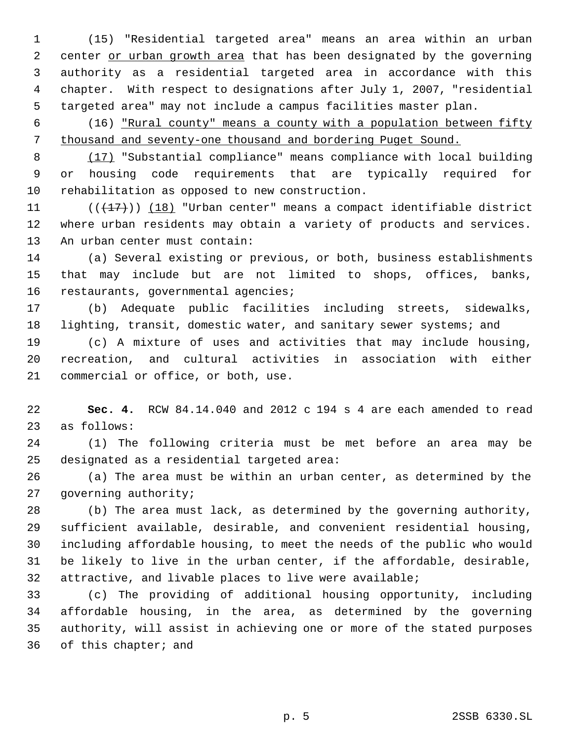(15) "Residential targeted area" means an area within an urban 2 center or urban growth area that has been designated by the governing authority as a residential targeted area in accordance with this chapter. With respect to designations after July 1, 2007, "residential targeted area" may not include a campus facilities master plan.

 (16) "Rural county" means a county with a population between fifty thousand and seventy-one thousand and bordering Puget Sound.

 (17) "Substantial compliance" means compliance with local building or housing code requirements that are typically required for rehabilitation as opposed to new construction.

11  $((+17))$   $(18)$  "Urban center" means a compact identifiable district where urban residents may obtain a variety of products and services. An urban center must contain:

 (a) Several existing or previous, or both, business establishments that may include but are not limited to shops, offices, banks, 16 restaurants, governmental agencies;

 (b) Adequate public facilities including streets, sidewalks, 18 lighting, transit, domestic water, and sanitary sewer systems; and

 (c) A mixture of uses and activities that may include housing, recreation, and cultural activities in association with either commercial or office, or both, use.

 **Sec. 4.** RCW 84.14.040 and 2012 c 194 s 4 are each amended to read as follows:

 (1) The following criteria must be met before an area may be designated as a residential targeted area:

 (a) The area must be within an urban center, as determined by the governing authority;

 (b) The area must lack, as determined by the governing authority, sufficient available, desirable, and convenient residential housing, including affordable housing, to meet the needs of the public who would be likely to live in the urban center, if the affordable, desirable, attractive, and livable places to live were available;

 (c) The providing of additional housing opportunity, including affordable housing, in the area, as determined by the governing authority, will assist in achieving one or more of the stated purposes of this chapter; and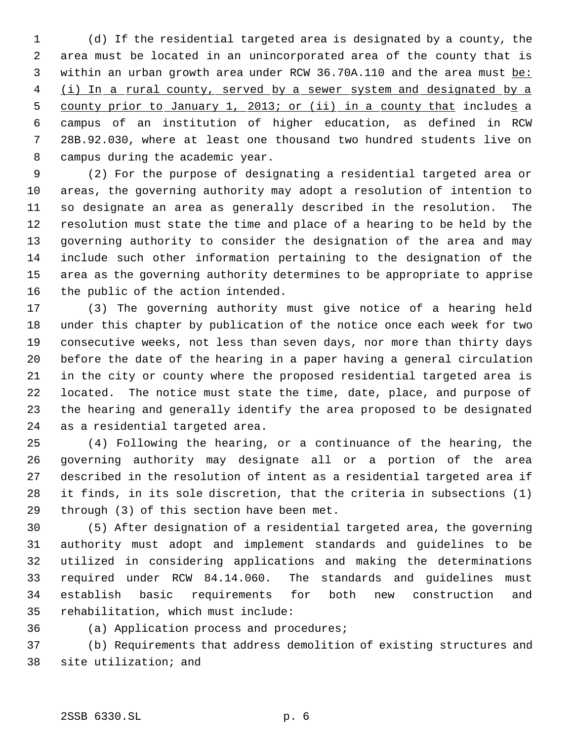(d) If the residential targeted area is designated by a county, the area must be located in an unincorporated area of the county that is 3 within an urban growth area under RCW 36.70A.110 and the area must be: 4 (i) In a rural county, served by a sewer system and designated by a 5 county prior to January 1, 2013; or (ii) in a county that includes a campus of an institution of higher education, as defined in RCW 28B.92.030, where at least one thousand two hundred students live on campus during the academic year.

 (2) For the purpose of designating a residential targeted area or areas, the governing authority may adopt a resolution of intention to so designate an area as generally described in the resolution. The resolution must state the time and place of a hearing to be held by the governing authority to consider the designation of the area and may include such other information pertaining to the designation of the area as the governing authority determines to be appropriate to apprise the public of the action intended.

 (3) The governing authority must give notice of a hearing held under this chapter by publication of the notice once each week for two consecutive weeks, not less than seven days, nor more than thirty days before the date of the hearing in a paper having a general circulation in the city or county where the proposed residential targeted area is located. The notice must state the time, date, place, and purpose of the hearing and generally identify the area proposed to be designated as a residential targeted area.

 (4) Following the hearing, or a continuance of the hearing, the governing authority may designate all or a portion of the area described in the resolution of intent as a residential targeted area if it finds, in its sole discretion, that the criteria in subsections (1) through (3) of this section have been met.

 (5) After designation of a residential targeted area, the governing authority must adopt and implement standards and guidelines to be utilized in considering applications and making the determinations required under RCW 84.14.060. The standards and guidelines must establish basic requirements for both new construction and rehabilitation, which must include:

(a) Application process and procedures;

 (b) Requirements that address demolition of existing structures and site utilization; and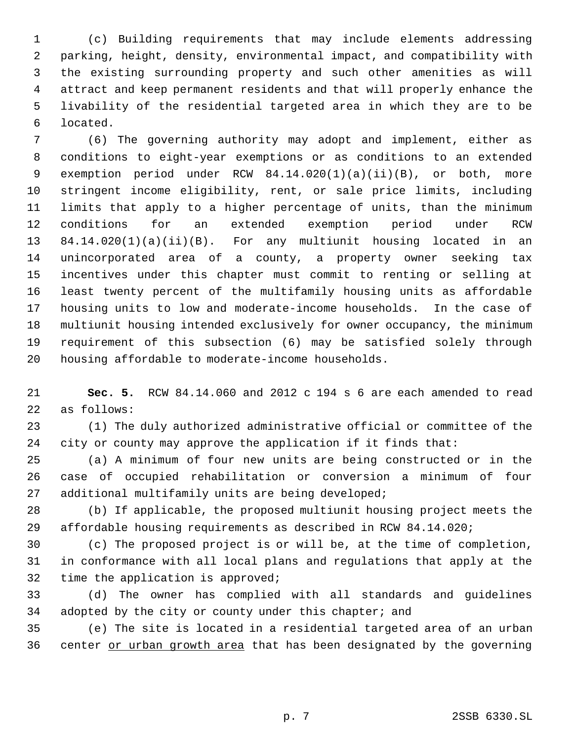(c) Building requirements that may include elements addressing parking, height, density, environmental impact, and compatibility with the existing surrounding property and such other amenities as will attract and keep permanent residents and that will properly enhance the livability of the residential targeted area in which they are to be located.

 (6) The governing authority may adopt and implement, either as conditions to eight-year exemptions or as conditions to an extended exemption period under RCW 84.14.020(1)(a)(ii)(B), or both, more stringent income eligibility, rent, or sale price limits, including limits that apply to a higher percentage of units, than the minimum conditions for an extended exemption period under RCW 84.14.020(1)(a)(ii)(B). For any multiunit housing located in an unincorporated area of a county, a property owner seeking tax incentives under this chapter must commit to renting or selling at least twenty percent of the multifamily housing units as affordable housing units to low and moderate-income households. In the case of multiunit housing intended exclusively for owner occupancy, the minimum requirement of this subsection (6) may be satisfied solely through housing affordable to moderate-income households.

 **Sec. 5.** RCW 84.14.060 and 2012 c 194 s 6 are each amended to read as follows:

 (1) The duly authorized administrative official or committee of the city or county may approve the application if it finds that:

 (a) A minimum of four new units are being constructed or in the case of occupied rehabilitation or conversion a minimum of four additional multifamily units are being developed;

 (b) If applicable, the proposed multiunit housing project meets the affordable housing requirements as described in RCW 84.14.020;

 (c) The proposed project is or will be, at the time of completion, in conformance with all local plans and regulations that apply at the time the application is approved;

 (d) The owner has complied with all standards and guidelines 34 adopted by the city or county under this chapter; and

 (e) The site is located in a residential targeted area of an urban 36 center or urban growth area that has been designated by the governing